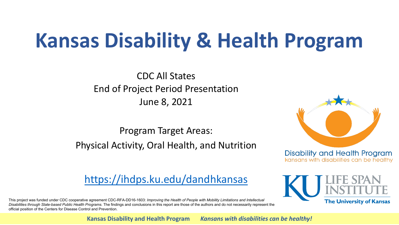# **Kansas Disability & Health Program**

CDC All States End of Project Period Presentation June 8, 2021

Program Target Areas: Physical Activity, Oral Health, and Nutrition



kansans with disabilities can be healthy

**The University of Kansas** 

<https://ihdps.ku.edu/dandhkansas>

This project was funded under CDC cooperative agreement CDC-RFA-DD16-1603: *Improving the Health of People with Mobility Limitations and Intellectual Disabilities through State-based Public Health Programs.* The findings and conclusions in this report are those of the authors and do not necessarily represent the official position of the Centers for Disease Control and Prevention.

**Kansas Disability and Health Program** *Kansans with disabilities can be healthy!*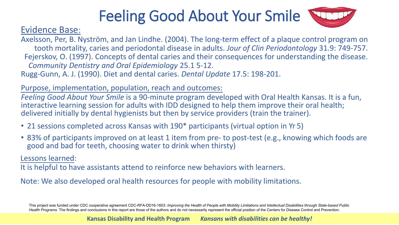# Feeling Good About Your Smile



#### Evidence Base:

Axelsson, Per, B. Nyström, and Jan Lindhe. (2004). The long-term effect of a plaque control program on tooth mortality, caries and periodontal disease in adults. *Jour of Clin Periodontology* 31.9: 749-757. Fejerskov, O. (1997). Concepts of dental caries and their consequences for understanding the disease. *Community Dentistry and Oral Epidemiology* 25.1 5-12. Rugg-Gunn, A. J. (1990). Diet and dental caries. *Dental Update* 17.5: 198-201.

Purpose, implementation, population, reach and outcomes:

*Feeling Good About Your Smile* is a 90-minute program developed with Oral Health Kansas. It is a fun, interactive learning session for adults with IDD designed to help them improve their oral health; delivered initially by dental hygienists but then by service providers (train the trainer).

- 21 sessions completed across Kansas with 190\* participants (virtual option in Yr 5)
- 83% of participants improved on at least 1 item from pre- to post-test (e.g., knowing which foods are good and bad for teeth, choosing water to drink when thirsty)

Lessons learned:

It is helpful to have assistants attend to reinforce new behaviors with learners.

Note: We also developed oral health resources for people with mobility limitations.

This project was funded under CDC cooperative agreement CDC-RFA-DD16-1603: *Improving the Health of People with Mobility Limitations and Intellectual Disabilities through State-based Public*  Health Programs. The findings and conclusions in this report are those of the authors and do not necessarily represent the official position of the Centers for Disease Control and Prevention.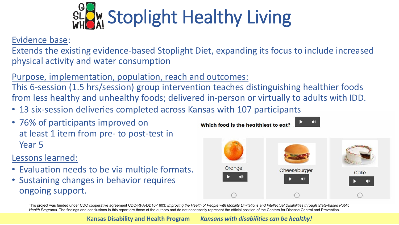

Evidence base:

Extends the existing evidence-based Stoplight Diet, expanding its focus to include increased physical activity and water consumption

#### Purpose, implementation, population, reach and outcomes:

This 6-session (1.5 hrs/session) group intervention teaches distinguishing healthier foods from less healthy and unhealthy foods; delivered in-person or virtually to adults with IDD.

- 13 six-session deliveries completed across Kansas with 107 participants
- 76% of participants improved on at least 1 item from pre- to post-test in Year 5

#### Lessons learned:

- Evaluation needs to be via multiple formats.
- Sustaining changes in behavior requires ongoing support.



Which food is the healthiest to eat?

This project was funded under CDC cooperative agreement CDC-RFA-DD16-1603: *Improving the Health of People with Mobility Limitations and Intellectual Disabilities through State-based Public*  Health Programs. The findings and conclusions in this report are those of the authors and do not necessarily represent the official position of the Centers for Disease Control and Prevention.

**Kansas Disability and Health Program** *Kansans with disabilities can be healthy!*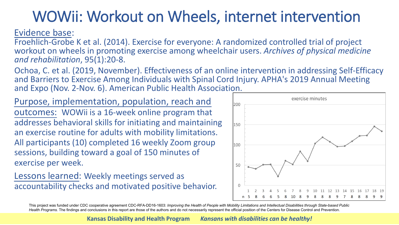## WOWii: Workout on Wheels, internet intervention

Evidence base:

Froehlich-Grobe K et al. (2014). Exercise for everyone: A randomized controlled trial of project workout on wheels in promoting exercise among wheelchair users. *Archives of physical medicine and rehabilitation*, 95(1):20-8.

Ochoa, C. et al. (2019, November). Effectiveness of an online intervention in addressing Self-Efficacy and Barriers to Exercise Among Individuals with Spinal Cord Injury. APHA's 2019 Annual Meeting and Expo (Nov. 2-Nov. 6). American Public Health Association.

Purpose, implementation, population, reach and outcomes: WOWii is a 16-week online program that addresses behavioral skills for initiating and maintaining an exercise routine for adults with mobility limitations. All participants (10) completed 16 weekly Zoom group sessions, building toward a goal of 150 minutes of exercise per week.

Lessons learned: Weekly meetings served as accountability checks and motivated positive behavior.



This project was funded under CDC cooperative agreement CDC-RFA-DD16-1603: *Improving the Health of People with Mobility Limitations and Intellectual Disabilities through State-based Public*  Health Programs. The findings and conclusions in this report are those of the authors and do not necessarily represent the official position of the Centers for Disease Control and Prevention.